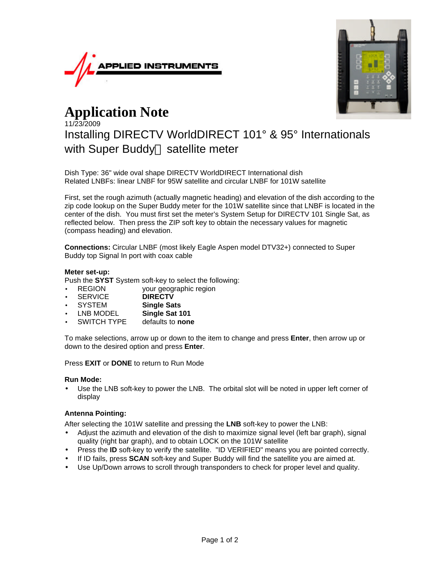



# **Application Note**

# 11/23/2009 Installing DIRECTV WorldDIRECT 101° & 95° Internationals with Super Buddy<sup>™</sup> satellite meter

Dish Type: 36" wide oval shape DIRECTV WorldDIRECT International dish Related LNBFs: linear LNBF for 95W satellite and circular LNBF for 101W satellite

First, set the rough azimuth (actually magnetic heading) and elevation of the dish according to the zip code lookup on the Super Buddy meter for the 101W satellite since that LNBF is located in the center of the dish. You must first set the meter's System Setup for DIRECTV 101 Single Sat, as reflected below. Then press the ZIP soft key to obtain the necessary values for magnetic (compass heading) and elevation.

**Connections:** Circular LNBF (most likely Eagle Aspen model DTV32+) connected to Super Buddy top Signal In port with coax cable

# **Meter set-up:**

Push the **SYST** System soft-key to select the following:

- REGION your geographic region
- SERVICE **DIRECTV**
- SYSTEM **Single Sats**
- LNB MODEL **Single Sat 101**
- SWITCH TYPE defaults to **none**

To make selections, arrow up or down to the item to change and press **Enter**, then arrow up or down to the desired option and press **Enter**.

Press **EXIT** or **DONE** to return to Run Mode

### **Run Mode:**

Use the LNB soft-key to power the LNB. The orbital slot will be noted in upper left corner of display

# **Antenna Pointing:**

After selecting the 101W satellite and pressing the **LNB** soft-key to power the LNB:

- Adjust the azimuth and elevation of the dish to maximize signal level (left bar graph), signal quality (right bar graph), and to obtain LOCK on the 101W satellite
- Press the **ID** soft-key to verify the satellite. "ID VERIFIED" means you are pointed correctly.
- If ID fails, press **SCAN** soft-key and Super Buddy will find the satellite you are aimed at.
- Use Up/Down arrows to scroll through transponders to check for proper level and quality.